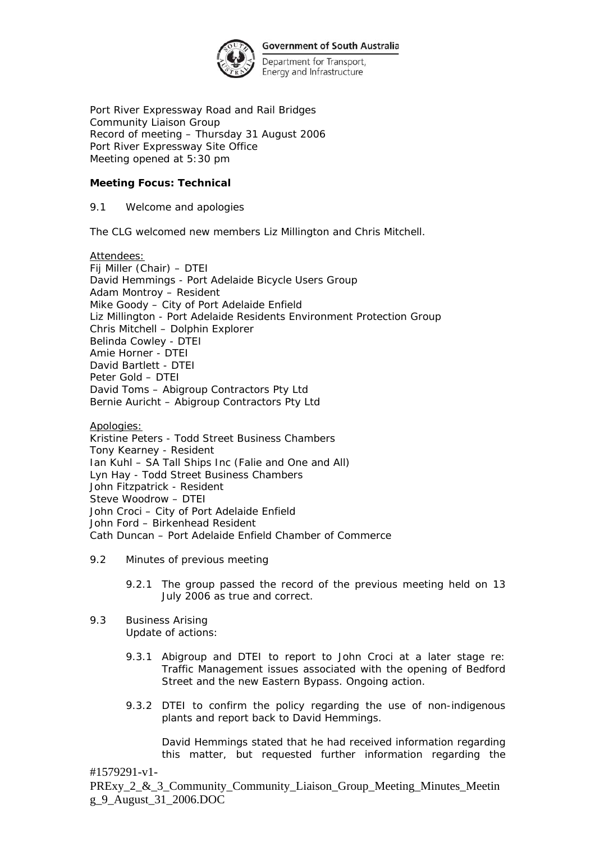

Department for Transport, Energy and Infrastructure

Port River Expressway Road and Rail Bridges Community Liaison Group Record of meeting – Thursday 31 August 2006 Port River Expressway Site Office Meeting opened at 5:30 pm

### **Meeting Focus: Technical**

9.1 Welcome and apologies

The CLG welcomed new members Liz Millington and Chris Mitchell.

Attendees:

Fij Miller (Chair) – DTEI David Hemmings - Port Adelaide Bicycle Users Group Adam Montroy – Resident Mike Goody – City of Port Adelaide Enfield Liz Millington - Port Adelaide Residents Environment Protection Group Chris Mitchell – Dolphin Explorer Belinda Cowley - DTEI Amie Horner - DTEI David Bartlett - DTEI Peter Gold – DTEI David Toms – Abigroup Contractors Pty Ltd Bernie Auricht – Abigroup Contractors Pty Ltd

Apologies:

Kristine Peters - Todd Street Business Chambers Tony Kearney - Resident Ian Kuhl – SA Tall Ships Inc (Falie and One and All) Lyn Hay - Todd Street Business Chambers John Fitzpatrick - Resident Steve Woodrow – DTEI John Croci – City of Port Adelaide Enfield John Ford – Birkenhead Resident Cath Duncan – Port Adelaide Enfield Chamber of Commerce

- 9.2 Minutes of previous meeting
	- 9.2.1 The group passed the record of the previous meeting held on 13 July 2006 as true and correct.
- 9.3 Business Arising
	- Update of actions:
	- 9.3.1 Abigroup and DTEI to report to John Croci at a later stage re: Traffic Management issues associated with the opening of Bedford Street and the new Eastern Bypass. Ongoing action.
	- 9.3.2 DTEI to confirm the policy regarding the use of non-indigenous plants and report back to David Hemmings.

David Hemmings stated that he had received information regarding this matter, but requested further information regarding the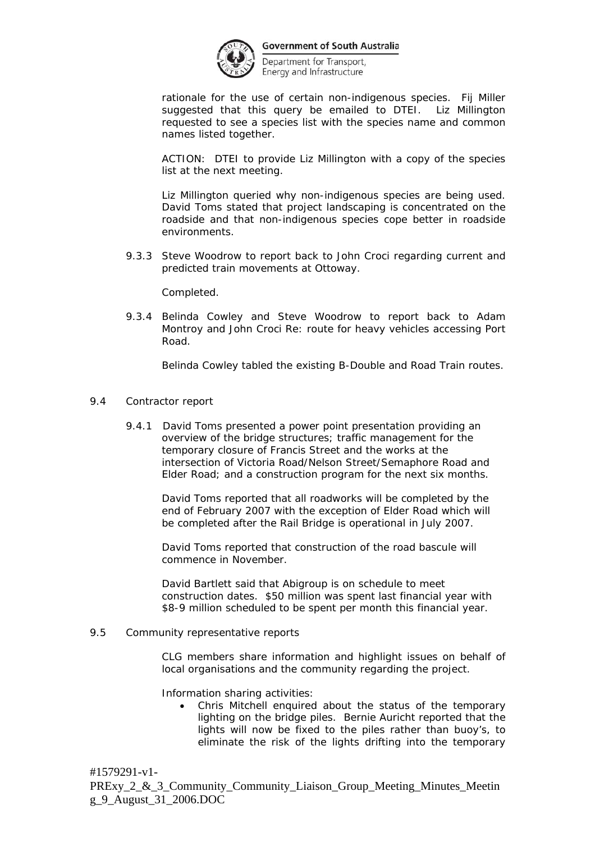

Department for Transport, Energy and Infrastructure

rationale for the use of certain non-indigenous species. Fij Miller suggested that this query be emailed to DTEI. Liz Millington requested to see a species list with the species name and common names listed together.

ACTION: DTEI to provide Liz Millington with a copy of the species list at the next meeting.

Liz Millington queried why non-indigenous species are being used. David Toms stated that project landscaping is concentrated on the roadside and that non-indigenous species cope better in roadside environments.

9.3.3 Steve Woodrow to report back to John Croci regarding current and predicted train movements at Ottoway.

Completed.

9.3.4 Belinda Cowley and Steve Woodrow to report back to Adam Montroy and John Croci Re: route for heavy vehicles accessing Port Road.

Belinda Cowley tabled the existing B-Double and Road Train routes.

- 9.4 Contractor report
	- 9.4.1 David Toms presented a power point presentation providing an overview of the bridge structures; traffic management for the temporary closure of Francis Street and the works at the intersection of Victoria Road/Nelson Street/Semaphore Road and Elder Road; and a construction program for the next six months.

 David Toms reported that all roadworks will be completed by the end of February 2007 with the exception of Elder Road which will be completed after the Rail Bridge is operational in July 2007.

 David Toms reported that construction of the road bascule will commence in November.

David Bartlett said that Abigroup is on schedule to meet construction dates. \$50 million was spent last financial year with \$8-9 million scheduled to be spent per month this financial year.

9.5 Community representative reports

CLG members share information and highlight issues on behalf of local organisations and the community regarding the project.

Information sharing activities:

• Chris Mitchell enquired about the status of the temporary lighting on the bridge piles. Bernie Auricht reported that the lights will now be fixed to the piles rather than buoy's, to eliminate the risk of the lights drifting into the temporary

#1579291-v1- PRExy\_2\_&\_3\_Community\_Community\_Liaison\_Group\_Meeting\_Minutes\_Meetin g\_9\_August\_31\_2006.DOC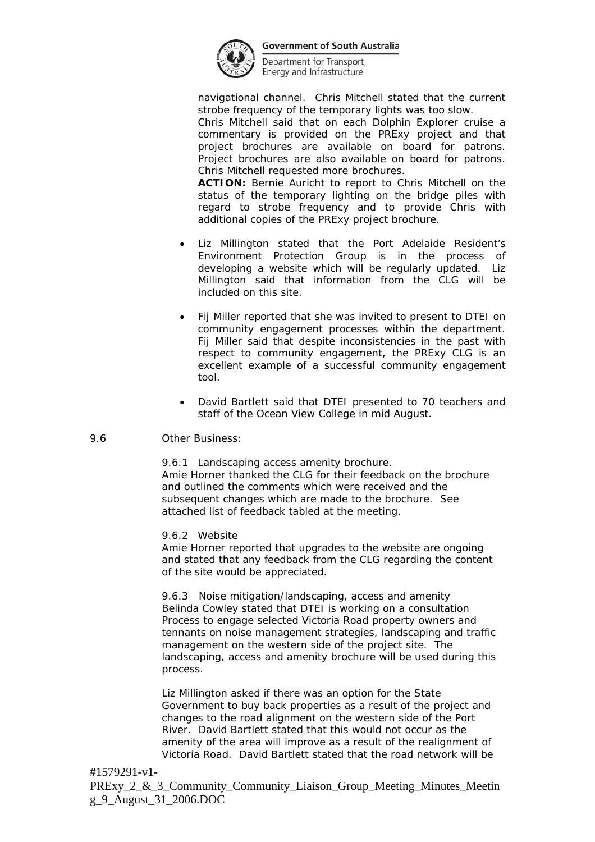

Department for Transport, Energy and Infrastructure

navigational channel. Chris Mitchell stated that the current strobe frequency of the temporary lights was too slow.

Chris Mitchell said that on each Dolphin Explorer cruise a commentary is provided on the PRExy project and that project brochures are available on board for patrons. Project brochures are also available on board for patrons. Chris Mitchell requested more brochures.

**ACTION:** Bernie Auricht to report to Chris Mitchell on the status of the temporary lighting on the bridge piles with regard to strobe frequency and to provide Chris with additional copies of the PRExy project brochure.

- Liz Millington stated that the Port Adelaide Resident's Environment Protection Group is in the process of developing a website which will be regularly updated. Liz Millington said that information from the CLG will be included on this site.
- Fij Miller reported that she was invited to present to DTEI on community engagement processes within the department. Fij Miller said that despite inconsistencies in the past with respect to community engagement, the PRExy CLG is an excellent example of a successful community engagement tool.
- David Bartlett said that DTEI presented to 70 teachers and staff of the Ocean View College in mid August.
- 9.6 Other Business:

 9.6.1 Landscaping access amenity brochure. Amie Horner thanked the CLG for their feedback on the brochure and outlined the comments which were received and the subsequent changes which are made to the brochure. See attached list of feedback tabled at the meeting.

9.6.2 Website

Amie Horner reported that upgrades to the website are ongoing and stated that any feedback from the CLG regarding the content of the site would be appreciated.

9.6.3 Noise mitigation/landscaping, access and amenity Belinda Cowley stated that DTEI is working on a consultation Process to engage selected Victoria Road property owners and tennants on noise management strategies, landscaping and traffic management on the western side of the project site. The landscaping, access and amenity brochure will be used during this process.

 Liz Millington asked if there was an option for the State Government to buy back properties as a result of the project and changes to the road alignment on the western side of the Port River. David Bartlett stated that this would not occur as the amenity of the area will improve as a result of the realignment of Victoria Road. David Bartlett stated that the road network will be

# #1579291-v1-

PRExy\_2\_&\_3\_Community\_Community\_Liaison\_Group\_Meeting\_Minutes\_Meetin g\_9\_August\_31\_2006.DOC